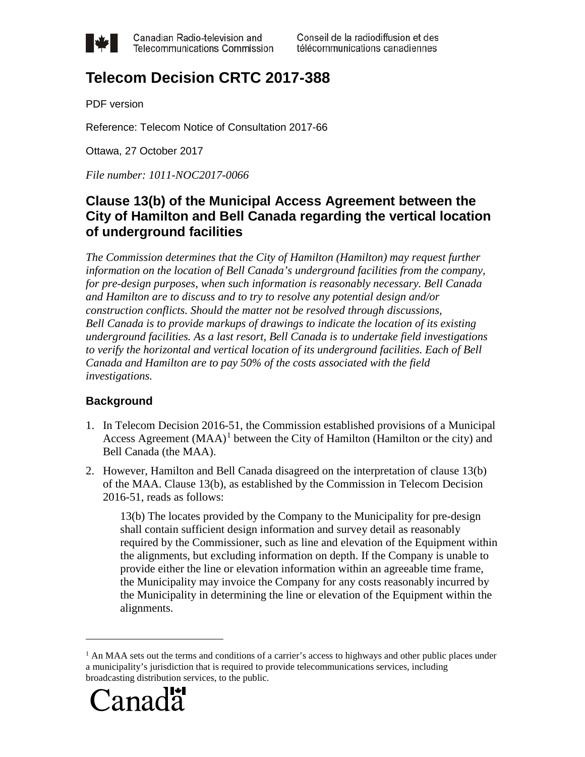

Canadian Radio-television and **Telecommunications Commission** 

# **Telecom Decision CRTC 2017-388**

PDF version

Reference: Telecom Notice of Consultation 2017-66

Ottawa, 27 October 2017

*File number: 1011-NOC2017-0066*

# **Clause 13(b) of the Municipal Access Agreement between the City of Hamilton and Bell Canada regarding the vertical location of underground facilities**

*The Commission determines that the City of Hamilton (Hamilton) may request further information on the location of Bell Canada's underground facilities from the company, for pre-design purposes, when such information is reasonably necessary. Bell Canada and Hamilton are to discuss and to try to resolve any potential design and/or construction conflicts. Should the matter not be resolved through discussions, Bell Canada is to provide markups of drawings to indicate the location of its existing underground facilities. As a last resort, Bell Canada is to undertake field investigations to verify the horizontal and vertical location of its underground facilities. Each of Bell Canada and Hamilton are to pay 50% of the costs associated with the field investigations.*

# **Background**

- 1. In Telecom Decision 2016-51, the Commission established provisions of a Municipal Access Agreement  $(MAA)^1$  $(MAA)^1$  between the City of Hamilton (Hamilton or the city) and Bell Canada (the MAA).
- 2. However, Hamilton and Bell Canada disagreed on the interpretation of clause 13(b) of the MAA. Clause 13(b), as established by the Commission in Telecom Decision 2016-51, reads as follows:

13(b) The locates provided by the Company to the Municipality for pre-design shall contain sufficient design information and survey detail as reasonably required by the Commissioner, such as line and elevation of the Equipment within the alignments, but excluding information on depth. If the Company is unable to provide either the line or elevation information within an agreeable time frame, the Municipality may invoice the Company for any costs reasonably incurred by the Municipality in determining the line or elevation of the Equipment within the alignments.

<span id="page-0-0"></span> $<sup>1</sup>$  An MAA sets out the terms and conditions of a carrier's access to highways and other public places under</sup> a municipality's jurisdiction that is required to provide telecommunications services, including broadcasting distribution services, to the public.

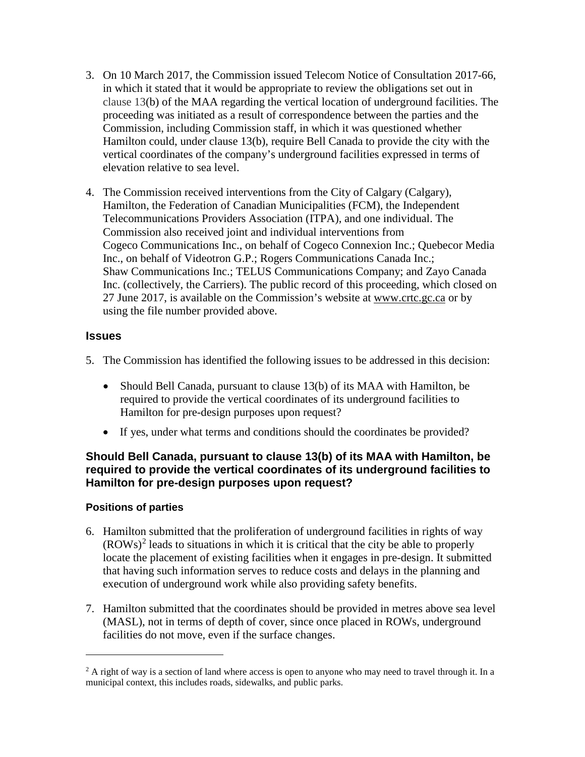- 3. On 10 March 2017, the Commission issued Telecom Notice of Consultation 2017-66, in which it stated that it would be appropriate to review the obligations set out in clause 13(b) of the MAA regarding the vertical location of underground facilities. The proceeding was initiated as a result of correspondence between the parties and the Commission, including Commission staff, in which it was questioned whether Hamilton could, under clause 13(b), require Bell Canada to provide the city with the vertical coordinates of the company's underground facilities expressed in terms of elevation relative to sea level.
- 4. The Commission received interventions from the City of Calgary (Calgary), Hamilton, the Federation of Canadian Municipalities (FCM), the Independent Telecommunications Providers Association (ITPA), and one individual. The Commission also received joint and individual interventions from Cogeco Communications Inc., on behalf of Cogeco Connexion Inc.; Quebecor Media Inc., on behalf of Videotron G.P.; Rogers Communications Canada Inc.; Shaw Communications Inc.; TELUS Communications Company; and Zayo Canada Inc. (collectively, the Carriers). The public record of this proceeding, which closed on 27 June 2017, is available on the Commission's website at [www.crtc.gc.ca](http://www.crtc.gc.ca/) or by using the file number provided above.

#### **Issues**

- 5. The Commission has identified the following issues to be addressed in this decision:
	- Should Bell Canada, pursuant to clause 13(b) of its MAA with Hamilton, be required to provide the vertical coordinates of its underground facilities to Hamilton for pre-design purposes upon request?
	- If yes, under what terms and conditions should the coordinates be provided?

# **Should Bell Canada, pursuant to clause 13(b) of its MAA with Hamilton, be required to provide the vertical coordinates of its underground facilities to Hamilton for pre-design purposes upon request?**

#### **Positions of parties**

- 6. Hamilton submitted that the proliferation of underground facilities in rights of way  $(ROWs)^2$  $(ROWs)^2$  leads to situations in which it is critical that the city be able to properly locate the placement of existing facilities when it engages in pre-design. It submitted that having such information serves to reduce costs and delays in the planning and execution of underground work while also providing safety benefits.
- 7. Hamilton submitted that the coordinates should be provided in metres above sea level (MASL), not in terms of depth of cover, since once placed in ROWs, underground facilities do not move, even if the surface changes.

<span id="page-1-0"></span> $^{2}$  A right of way is a section of land where access is open to anyone who may need to travel through it. In a municipal context, this includes roads, sidewalks, and public parks.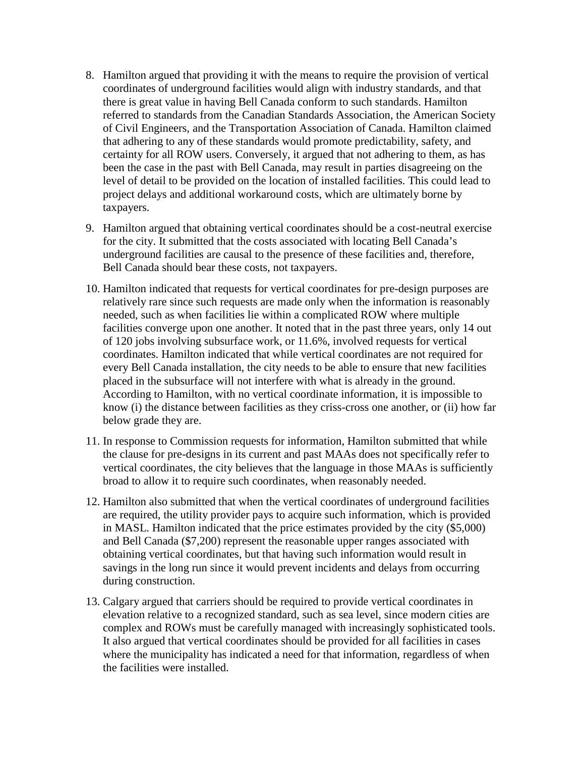- 8. Hamilton argued that providing it with the means to require the provision of vertical coordinates of underground facilities would align with industry standards, and that there is great value in having Bell Canada conform to such standards. Hamilton referred to standards from the Canadian Standards Association, the American Society of Civil Engineers, and the Transportation Association of Canada. Hamilton claimed that adhering to any of these standards would promote predictability, safety, and certainty for all ROW users. Conversely, it argued that not adhering to them, as has been the case in the past with Bell Canada, may result in parties disagreeing on the level of detail to be provided on the location of installed facilities. This could lead to project delays and additional workaround costs, which are ultimately borne by taxpayers.
- 9. Hamilton argued that obtaining vertical coordinates should be a cost-neutral exercise for the city. It submitted that the costs associated with locating Bell Canada's underground facilities are causal to the presence of these facilities and, therefore, Bell Canada should bear these costs, not taxpayers.
- 10. Hamilton indicated that requests for vertical coordinates for pre-design purposes are relatively rare since such requests are made only when the information is reasonably needed, such as when facilities lie within a complicated ROW where multiple facilities converge upon one another. It noted that in the past three years, only 14 out of 120 jobs involving subsurface work, or 11.6%, involved requests for vertical coordinates. Hamilton indicated that while vertical coordinates are not required for every Bell Canada installation, the city needs to be able to ensure that new facilities placed in the subsurface will not interfere with what is already in the ground. According to Hamilton, with no vertical coordinate information, it is impossible to know (i) the distance between facilities as they criss-cross one another, or (ii) how far below grade they are.
- 11. In response to Commission requests for information, Hamilton submitted that while the clause for pre-designs in its current and past MAAs does not specifically refer to vertical coordinates, the city believes that the language in those MAAs is sufficiently broad to allow it to require such coordinates, when reasonably needed.
- 12. Hamilton also submitted that when the vertical coordinates of underground facilities are required, the utility provider pays to acquire such information, which is provided in MASL. Hamilton indicated that the price estimates provided by the city (\$5,000) and Bell Canada (\$7,200) represent the reasonable upper ranges associated with obtaining vertical coordinates, but that having such information would result in savings in the long run since it would prevent incidents and delays from occurring during construction.
- 13. Calgary argued that carriers should be required to provide vertical coordinates in elevation relative to a recognized standard, such as sea level, since modern cities are complex and ROWs must be carefully managed with increasingly sophisticated tools. It also argued that vertical coordinates should be provided for all facilities in cases where the municipality has indicated a need for that information, regardless of when the facilities were installed.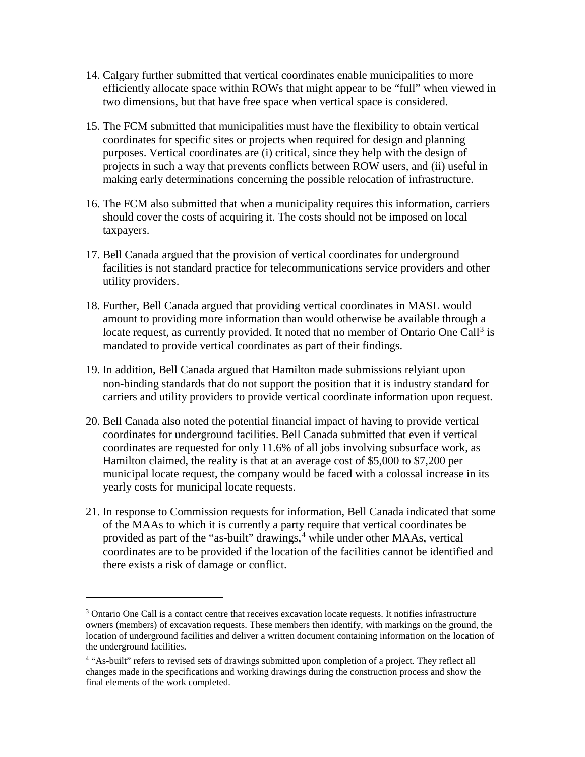- 14. Calgary further submitted that vertical coordinates enable municipalities to more efficiently allocate space within ROWs that might appear to be "full" when viewed in two dimensions, but that have free space when vertical space is considered.
- 15. The FCM submitted that municipalities must have the flexibility to obtain vertical coordinates for specific sites or projects when required for design and planning purposes. Vertical coordinates are (i) critical, since they help with the design of projects in such a way that prevents conflicts between ROW users, and (ii) useful in making early determinations concerning the possible relocation of infrastructure.
- 16. The FCM also submitted that when a municipality requires this information, carriers should cover the costs of acquiring it. The costs should not be imposed on local taxpayers.
- 17. Bell Canada argued that the provision of vertical coordinates for underground facilities is not standard practice for telecommunications service providers and other utility providers.
- 18. Further, Bell Canada argued that providing vertical coordinates in MASL would amount to providing more information than would otherwise be available through a locate request, as currently provided. It noted that no member of Ontario One Call<sup>[3](#page-3-0)</sup> is mandated to provide vertical coordinates as part of their findings.
- 19. In addition, Bell Canada argued that Hamilton made submissions relyiant upon non-binding standards that do not support the position that it is industry standard for carriers and utility providers to provide vertical coordinate information upon request.
- 20. Bell Canada also noted the potential financial impact of having to provide vertical coordinates for underground facilities. Bell Canada submitted that even if vertical coordinates are requested for only 11.6% of all jobs involving subsurface work, as Hamilton claimed, the reality is that at an average cost of \$5,000 to \$7,200 per municipal locate request, the company would be faced with a colossal increase in its yearly costs for municipal locate requests.
- 21. In response to Commission requests for information, Bell Canada indicated that some of the MAAs to which it is currently a party require that vertical coordinates be provided as part of the "as-built" drawings, [4](#page-3-1) while under other MAAs, vertical coordinates are to be provided if the location of the facilities cannot be identified and there exists a risk of damage or conflict.

<span id="page-3-0"></span><sup>&</sup>lt;sup>3</sup> Ontario One Call is a contact centre that receives excavation locate requests. It notifies infrastructure owners (members) of excavation requests. These members then identify, with markings on the ground, the location of underground facilities and deliver a written document containing information on the location of the underground facilities.

<span id="page-3-1"></span><sup>4</sup> "As-built" refers to revised sets of drawings submitted upon completion of a project. They reflect all changes made in the specifications and working drawings during the construction process and show the final elements of the work completed.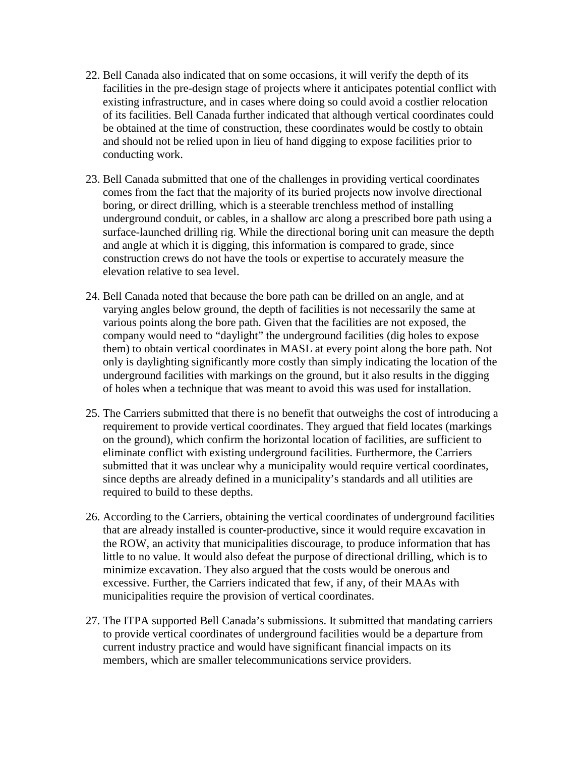- 22. Bell Canada also indicated that on some occasions, it will verify the depth of its facilities in the pre-design stage of projects where it anticipates potential conflict with existing infrastructure, and in cases where doing so could avoid a costlier relocation of its facilities. Bell Canada further indicated that although vertical coordinates could be obtained at the time of construction, these coordinates would be costly to obtain and should not be relied upon in lieu of hand digging to expose facilities prior to conducting work.
- 23. Bell Canada submitted that one of the challenges in providing vertical coordinates comes from the fact that the majority of its buried projects now involve directional boring, or direct drilling, which is a steerable trenchless method of installing underground conduit, or cables, in a shallow arc along a prescribed bore path using a surface-launched drilling rig. While the directional boring unit can measure the depth and angle at which it is digging, this information is compared to grade, since construction crews do not have the tools or expertise to accurately measure the elevation relative to sea level.
- 24. Bell Canada noted that because the bore path can be drilled on an angle, and at varying angles below ground, the depth of facilities is not necessarily the same at various points along the bore path. Given that the facilities are not exposed, the company would need to "daylight" the underground facilities (dig holes to expose them) to obtain vertical coordinates in MASL at every point along the bore path. Not only is daylighting significantly more costly than simply indicating the location of the underground facilities with markings on the ground, but it also results in the digging of holes when a technique that was meant to avoid this was used for installation.
- 25. The Carriers submitted that there is no benefit that outweighs the cost of introducing a requirement to provide vertical coordinates. They argued that field locates (markings on the ground), which confirm the horizontal location of facilities, are sufficient to eliminate conflict with existing underground facilities. Furthermore, the Carriers submitted that it was unclear why a municipality would require vertical coordinates, since depths are already defined in a municipality's standards and all utilities are required to build to these depths.
- 26. According to the Carriers, obtaining the vertical coordinates of underground facilities that are already installed is counter-productive, since it would require excavation in the ROW, an activity that municipalities discourage, to produce information that has little to no value. It would also defeat the purpose of directional drilling, which is to minimize excavation. They also argued that the costs would be onerous and excessive. Further, the Carriers indicated that few, if any, of their MAAs with municipalities require the provision of vertical coordinates.
- 27. The ITPA supported Bell Canada's submissions. It submitted that mandating carriers to provide vertical coordinates of underground facilities would be a departure from current industry practice and would have significant financial impacts on its members, which are smaller telecommunications service providers.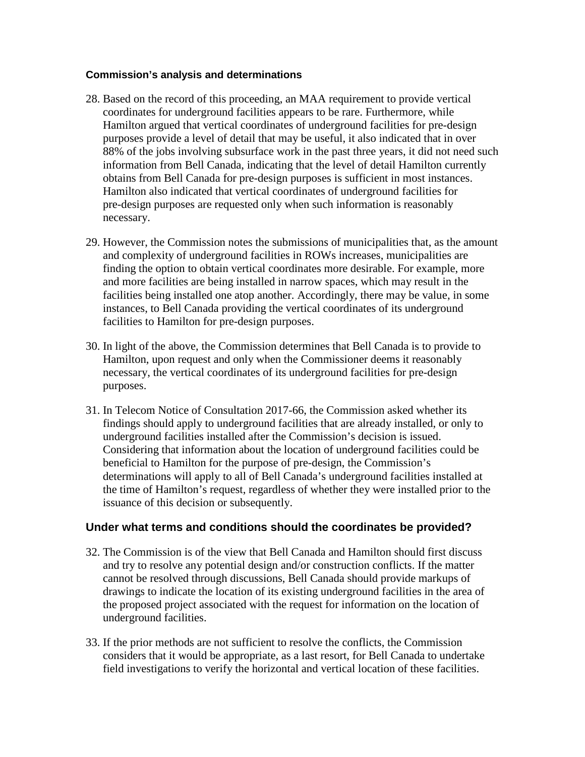#### **Commission's analysis and determinations**

- 28. Based on the record of this proceeding, an MAA requirement to provide vertical coordinates for underground facilities appears to be rare. Furthermore, while Hamilton argued that vertical coordinates of underground facilities for pre-design purposes provide a level of detail that may be useful, it also indicated that in over 88% of the jobs involving subsurface work in the past three years, it did not need such information from Bell Canada, indicating that the level of detail Hamilton currently obtains from Bell Canada for pre-design purposes is sufficient in most instances. Hamilton also indicated that vertical coordinates of underground facilities for pre-design purposes are requested only when such information is reasonably necessary.
- 29. However, the Commission notes the submissions of municipalities that, as the amount and complexity of underground facilities in ROWs increases, municipalities are finding the option to obtain vertical coordinates more desirable. For example, more and more facilities are being installed in narrow spaces, which may result in the facilities being installed one atop another. Accordingly, there may be value, in some instances, to Bell Canada providing the vertical coordinates of its underground facilities to Hamilton for pre-design purposes.
- 30. In light of the above, the Commission determines that Bell Canada is to provide to Hamilton, upon request and only when the Commissioner deems it reasonably necessary, the vertical coordinates of its underground facilities for pre-design purposes.
- 31. In Telecom Notice of Consultation 2017-66, the Commission asked whether its findings should apply to underground facilities that are already installed, or only to underground facilities installed after the Commission's decision is issued. Considering that information about the location of underground facilities could be beneficial to Hamilton for the purpose of pre-design, the Commission's determinations will apply to all of Bell Canada's underground facilities installed at the time of Hamilton's request, regardless of whether they were installed prior to the issuance of this decision or subsequently.

# **Under what terms and conditions should the coordinates be provided?**

- 32. The Commission is of the view that Bell Canada and Hamilton should first discuss and try to resolve any potential design and/or construction conflicts. If the matter cannot be resolved through discussions, Bell Canada should provide markups of drawings to indicate the location of its existing underground facilities in the area of the proposed project associated with the request for information on the location of underground facilities.
- 33. If the prior methods are not sufficient to resolve the conflicts, the Commission considers that it would be appropriate, as a last resort, for Bell Canada to undertake field investigations to verify the horizontal and vertical location of these facilities.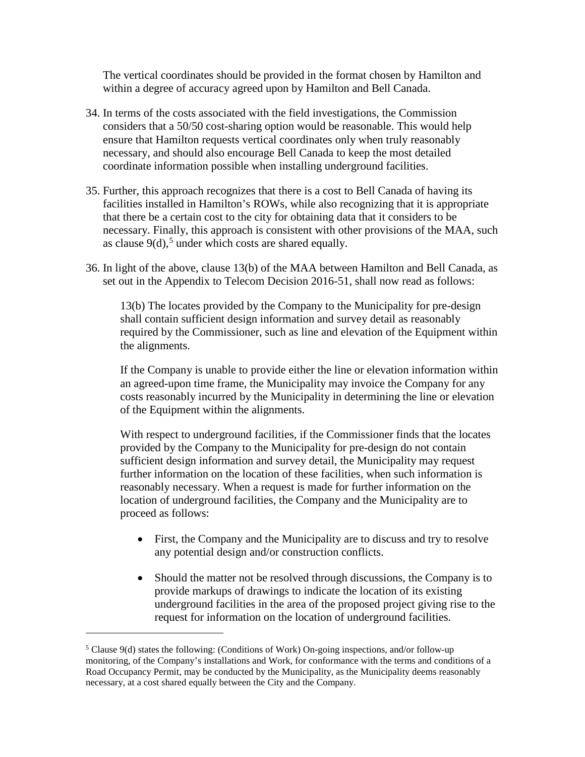The vertical coordinates should be provided in the format chosen by Hamilton and within a degree of accuracy agreed upon by Hamilton and Bell Canada.

- 34. In terms of the costs associated with the field investigations, the Commission considers that a 50/50 cost-sharing option would be reasonable. This would help ensure that Hamilton requests vertical coordinates only when truly reasonably necessary, and should also encourage Bell Canada to keep the most detailed coordinate information possible when installing underground facilities.
- 35. Further, this approach recognizes that there is a cost to Bell Canada of having its facilities installed in Hamilton's ROWs, while also recognizing that it is appropriate that there be a certain cost to the city for obtaining data that it considers to be necessary. Finally, this approach is consistent with other provisions of the MAA, such as clause  $9(d)$ ,<sup>[5](#page-6-0)</sup> under which costs are shared equally.
- 36. In light of the above, clause 13(b) of the MAA between Hamilton and Bell Canada, as set out in the Appendix to Telecom Decision 2016-51, shall now read as follows:

13(b) The locates provided by the Company to the Municipality for pre-design shall contain sufficient design information and survey detail as reasonably required by the Commissioner, such as line and elevation of the Equipment within the alignments.

If the Company is unable to provide either the line or elevation information within an agreed-upon time frame, the Municipality may invoice the Company for any costs reasonably incurred by the Municipality in determining the line or elevation of the Equipment within the alignments.

With respect to underground facilities, if the Commissioner finds that the locates provided by the Company to the Municipality for pre-design do not contain sufficient design information and survey detail, the Municipality may request further information on the location of these facilities, when such information is reasonably necessary. When a request is made for further information on the location of underground facilities, the Company and the Municipality are to proceed as follows:

- First, the Company and the Municipality are to discuss and try to resolve any potential design and/or construction conflicts.
- Should the matter not be resolved through discussions, the Company is to provide markups of drawings to indicate the location of its existing underground facilities in the area of the proposed project giving rise to the request for information on the location of underground facilities.

<span id="page-6-0"></span><sup>&</sup>lt;sup>5</sup> Clause 9(d) states the following: (Conditions of Work) On-going inspections, and/or follow-up monitoring, of the Company's installations and Work, for conformance with the terms and conditions of a Road Occupancy Permit, may be conducted by the Municipality, as the Municipality deems reasonably necessary, at a cost shared equally between the City and the Company.